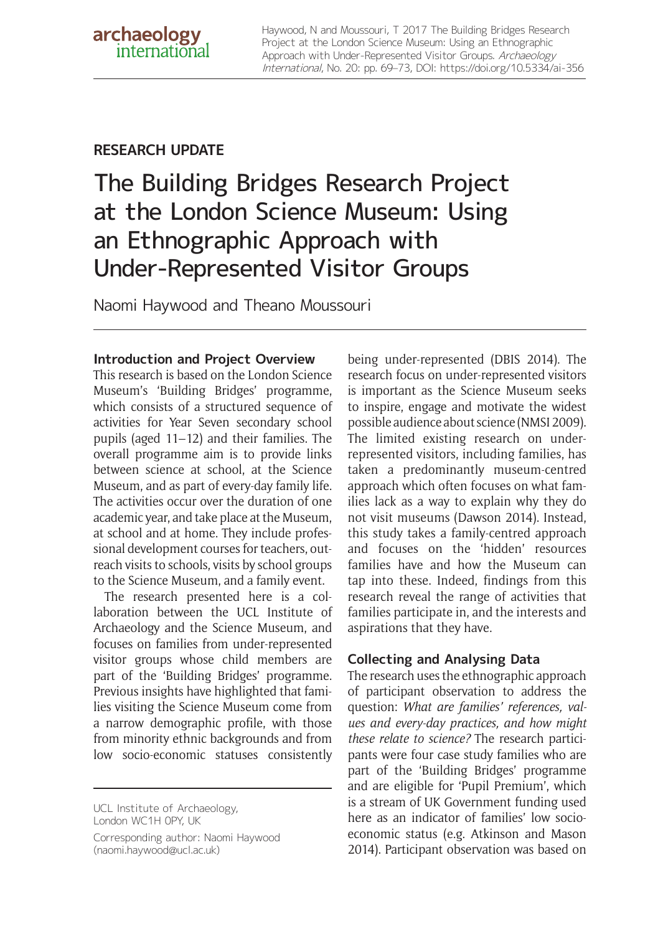Haywood, N and Moussouri, T 2017 The Building Bridges Research Project at the London Science Museum: Using an Ethnographic Approach with Under-Represented Visitor Groups. Archaeology International, No. 20: pp. 69–73, DOI:<https://doi.org/10.5334/ai-356>

## **RESEARCH UPDATE**

# The Building Bridges Research Project at the London Science Museum: Using an Ethnographic Approach with Under-Represented Visitor Groups

Naomi Haywood and Theano Moussouri

## **Introduction and Project Overview**

This research is based on the London Science Museum's 'Building Bridges' programme, which consists of a structured sequence of activities for Year Seven secondary school pupils (aged 11–12) and their families. The overall programme aim is to provide links between science at school, at the Science Museum, and as part of every-day family life. The activities occur over the duration of one academic year, and take place at the Museum, at school and at home. They include professional development courses for teachers, outreach visits to schools, visits by school groups to the Science Museum, and a family event.

The research presented here is a collaboration between the UCL Institute of Archaeology and the Science Museum, and focuses on families from under-represented visitor groups whose child members are part of the 'Building Bridges' programme. Previous insights have highlighted that families visiting the Science Museum come from a narrow demographic profile, with those from minority ethnic backgrounds and from low socio-economic statuses consistently

UCL Institute of Archaeology, London WC1H 0PY, UK

Corresponding author: Naomi Haywood [\(naomi.haywood@ucl.ac.uk](mailto:naomi.haywood@ucl.ac.uk))

being under-represented (DBIS 2014). The research focus on under-represented visitors is important as the Science Museum seeks to inspire, engage and motivate the widest possible audience about science (NMSI 2009). The limited existing research on underrepresented visitors, including families, has taken a predominantly museum-centred approach which often focuses on what families lack as a way to explain why they do not visit museums (Dawson 2014). Instead, this study takes a family-centred approach and focuses on the 'hidden' resources families have and how the Museum can tap into these. Indeed, findings from this research reveal the range of activities that families participate in, and the interests and aspirations that they have.

## **Collecting and Analysing Data**

The research uses the ethnographic approach of participant observation to address the question: *What are families' references, values and every-day practices, and how might these relate to science?* The research participants were four case study families who are part of the 'Building Bridges' programme and are eligible for 'Pupil Premium', which is a stream of UK Government funding used here as an indicator of families' low socioeconomic status (e.g. Atkinson and Mason 2014). Participant observation was based on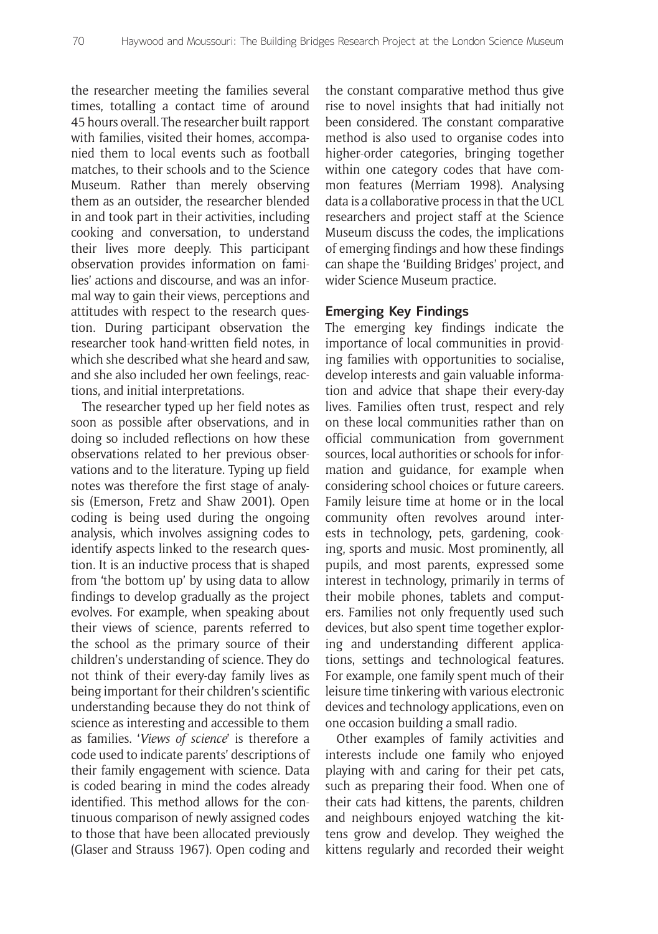the researcher meeting the families several times, totalling a contact time of around 45 hours overall. The researcher built rapport with families, visited their homes, accompanied them to local events such as football matches, to their schools and to the Science Museum. Rather than merely observing them as an outsider, the researcher blended in and took part in their activities, including cooking and conversation, to understand their lives more deeply. This participant observation provides information on families' actions and discourse, and was an informal way to gain their views, perceptions and attitudes with respect to the research question. During participant observation the researcher took hand-written field notes, in which she described what she heard and saw, and she also included her own feelings, reactions, and initial interpretations.

The researcher typed up her field notes as soon as possible after observations, and in doing so included reflections on how these observations related to her previous observations and to the literature. Typing up field notes was therefore the first stage of analysis (Emerson, Fretz and Shaw 2001). Open coding is being used during the ongoing analysis, which involves assigning codes to identify aspects linked to the research question. It is an inductive process that is shaped from 'the bottom up' by using data to allow findings to develop gradually as the project evolves. For example, when speaking about their views of science, parents referred to the school as the primary source of their children's understanding of science. They do not think of their every-day family lives as being important for their children's scientific understanding because they do not think of science as interesting and accessible to them as families. '*Views of science*' is therefore a code used to indicate parents' descriptions of their family engagement with science. Data is coded bearing in mind the codes already identified. This method allows for the continuous comparison of newly assigned codes to those that have been allocated previously (Glaser and Strauss 1967). Open coding and

the constant comparative method thus give rise to novel insights that had initially not been considered. The constant comparative method is also used to organise codes into higher-order categories, bringing together within one category codes that have common features (Merriam 1998). Analysing data is a collaborative process in that the UCL researchers and project staff at the Science Museum discuss the codes, the implications of emerging findings and how these findings can shape the 'Building Bridges' project, and wider Science Museum practice.

#### **Emerging Key Findings**

The emerging key findings indicate the importance of local communities in providing families with opportunities to socialise, develop interests and gain valuable information and advice that shape their every-day lives. Families often trust, respect and rely on these local communities rather than on official communication from government sources, local authorities or schools for information and guidance, for example when considering school choices or future careers. Family leisure time at home or in the local community often revolves around interests in technology, pets, gardening, cooking, sports and music. Most prominently, all pupils, and most parents, expressed some interest in technology, primarily in terms of their mobile phones, tablets and computers. Families not only frequently used such devices, but also spent time together exploring and understanding different applications, settings and technological features. For example, one family spent much of their leisure time tinkering with various electronic devices and technology applications, even on one occasion building a small radio.

Other examples of family activities and interests include one family who enjoyed playing with and caring for their pet cats, such as preparing their food. When one of their cats had kittens, the parents, children and neighbours enjoyed watching the kittens grow and develop. They weighed the kittens regularly and recorded their weight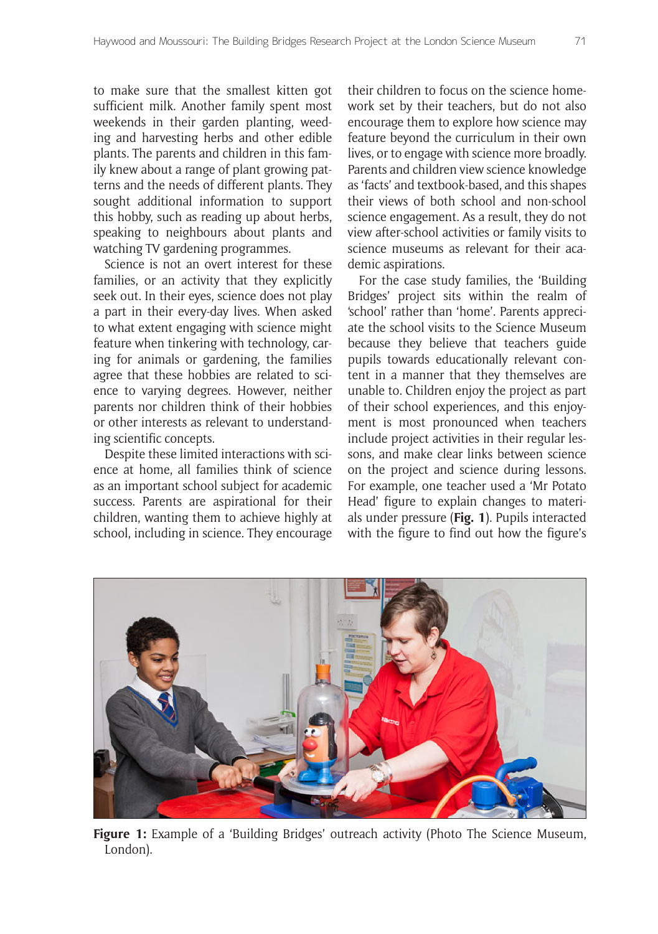to make sure that the smallest kitten got sufficient milk. Another family spent most weekends in their garden planting, weeding and harvesting herbs and other edible plants. The parents and children in this family knew about a range of plant growing patterns and the needs of different plants. They sought additional information to support this hobby, such as reading up about herbs, speaking to neighbours about plants and watching TV gardening programmes.

Science is not an overt interest for these families, or an activity that they explicitly seek out. In their eyes, science does not play a part in their every-day lives. When asked to what extent engaging with science might feature when tinkering with technology, caring for animals or gardening, the families agree that these hobbies are related to science to varying degrees. However, neither parents nor children think of their hobbies or other interests as relevant to understanding scientific concepts.

Despite these limited interactions with science at home, all families think of science as an important school subject for academic success. Parents are aspirational for their children, wanting them to achieve highly at school, including in science. They encourage their children to focus on the science homework set by their teachers, but do not also encourage them to explore how science may feature beyond the curriculum in their own lives, or to engage with science more broadly. Parents and children view science knowledge as 'facts' and textbook-based, and this shapes their views of both school and non-school science engagement. As a result, they do not view after-school activities or family visits to science museums as relevant for their academic aspirations.

For the case study families, the 'Building Bridges' project sits within the realm of 'school' rather than 'home'. Parents appreciate the school visits to the Science Museum because they believe that teachers guide pupils towards educationally relevant content in a manner that they themselves are unable to. Children enjoy the project as part of their school experiences, and this enjoyment is most pronounced when teachers include project activities in their regular lessons, and make clear links between science on the project and science during lessons. For example, one teacher used a 'Mr Potato Head' figure to explain changes to materials under pressure (**Fig. 1**). Pupils interacted with the figure to find out how the figure's



**Figure 1:** Example of a 'Building Bridges' outreach activity (Photo The Science Museum, London).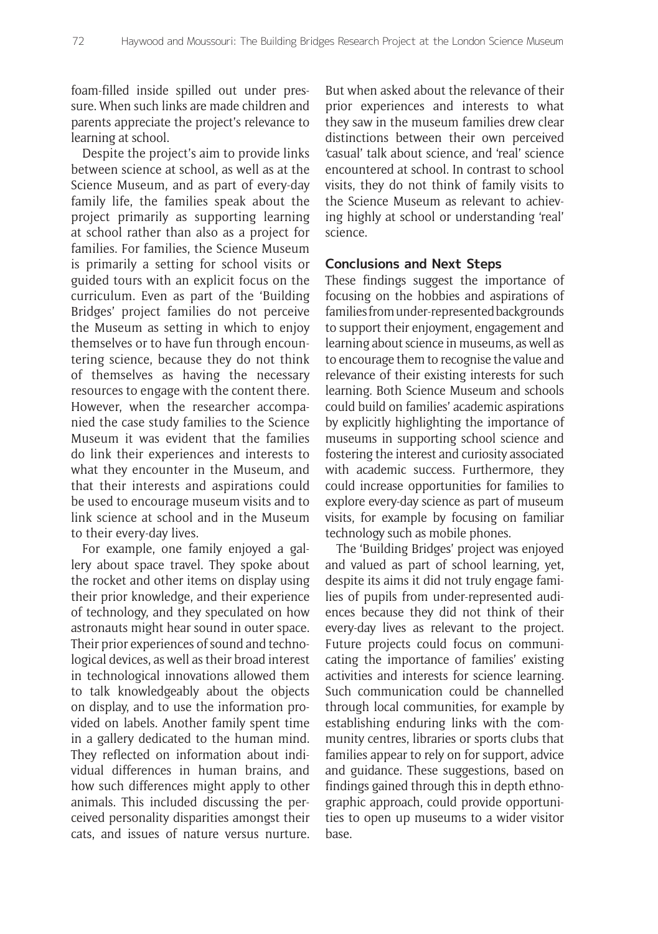foam-filled inside spilled out under pressure. When such links are made children and parents appreciate the project's relevance to learning at school.

Despite the project's aim to provide links between science at school, as well as at the Science Museum, and as part of every-day family life, the families speak about the project primarily as supporting learning at school rather than also as a project for families. For families, the Science Museum is primarily a setting for school visits or guided tours with an explicit focus on the curriculum. Even as part of the 'Building Bridges' project families do not perceive the Museum as setting in which to enjoy themselves or to have fun through encountering science, because they do not think of themselves as having the necessary resources to engage with the content there. However, when the researcher accompanied the case study families to the Science Museum it was evident that the families do link their experiences and interests to what they encounter in the Museum, and that their interests and aspirations could be used to encourage museum visits and to link science at school and in the Museum to their every-day lives.

For example, one family enjoyed a gallery about space travel. They spoke about the rocket and other items on display using their prior knowledge, and their experience of technology, and they speculated on how astronauts might hear sound in outer space. Their prior experiences of sound and technological devices, as well as their broad interest in technological innovations allowed them to talk knowledgeably about the objects on display, and to use the information provided on labels. Another family spent time in a gallery dedicated to the human mind. They reflected on information about individual differences in human brains, and how such differences might apply to other animals. This included discussing the perceived personality disparities amongst their cats, and issues of nature versus nurture. But when asked about the relevance of their prior experiences and interests to what they saw in the museum families drew clear distinctions between their own perceived 'casual' talk about science, and 'real' science encountered at school. In contrast to school visits, they do not think of family visits to the Science Museum as relevant to achieving highly at school or understanding 'real' science.

#### **Conclusions and Next Steps**

These findings suggest the importance of focusing on the hobbies and aspirations of families from under-represented backgrounds to support their enjoyment, engagement and learning about science in museums, as well as to encourage them to recognise the value and relevance of their existing interests for such learning. Both Science Museum and schools could build on families' academic aspirations by explicitly highlighting the importance of museums in supporting school science and fostering the interest and curiosity associated with academic success. Furthermore, they could increase opportunities for families to explore every-day science as part of museum visits, for example by focusing on familiar technology such as mobile phones.

The 'Building Bridges' project was enjoyed and valued as part of school learning, yet, despite its aims it did not truly engage families of pupils from under-represented audiences because they did not think of their every-day lives as relevant to the project. Future projects could focus on communicating the importance of families' existing activities and interests for science learning. Such communication could be channelled through local communities, for example by establishing enduring links with the community centres, libraries or sports clubs that families appear to rely on for support, advice and guidance. These suggestions, based on findings gained through this in depth ethnographic approach, could provide opportunities to open up museums to a wider visitor base.